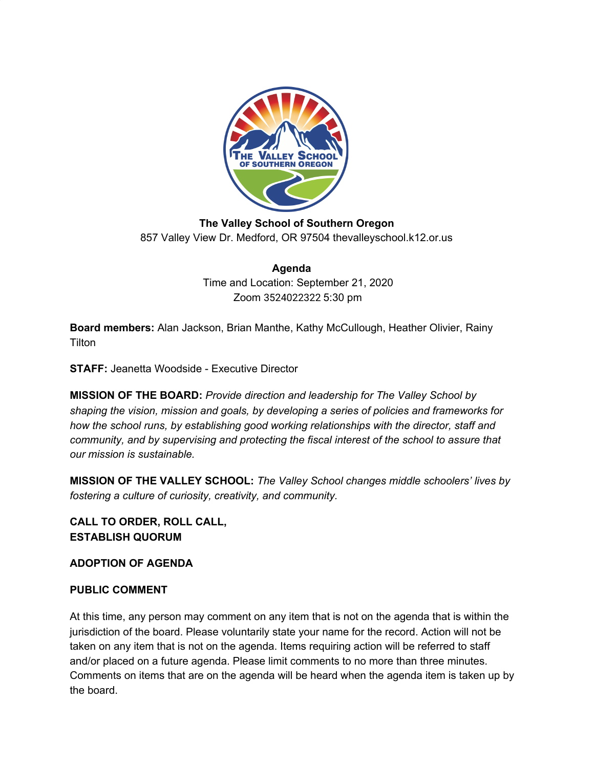

**The Valley School of Southern Oregon** 857 Valley View Dr. Medford, OR 97504 thevalleyschool.k12.or.us

> **Agenda** Time and Location: September 21, 2020 Zoom 3524022322 5:30 pm

**Board members:** Alan Jackson, Brian Manthe, Kathy McCullough, Heather Olivier, Rainy **Tilton** 

**STAFF:** Jeanetta Woodside - Executive Director

**MISSION OF THE BOARD:** *Provide direction and leadership for The Valley School by shaping the vision, mission and goals, by developing a series of policies and frameworks for how the school runs, by establishing good working relationships with the director, staff and community, and by supervising and protecting the fiscal interest of the school to assure that our mission is sustainable.*

**MISSION OF THE VALLEY SCHOOL:** *The Valley School changes middle schoolers' lives by fostering a culture of curiosity, creativity, and community.*

**CALL TO ORDER, ROLL CALL, ESTABLISH QUORUM**

**ADOPTION OF AGENDA**

## **PUBLIC COMMENT**

At this time, any person may comment on any item that is not on the agenda that is within the jurisdiction of the board. Please voluntarily state your name for the record. Action will not be taken on any item that is not on the agenda. Items requiring action will be referred to staff and/or placed on a future agenda. Please limit comments to no more than three minutes. Comments on items that are on the agenda will be heard when the agenda item is taken up by the board.